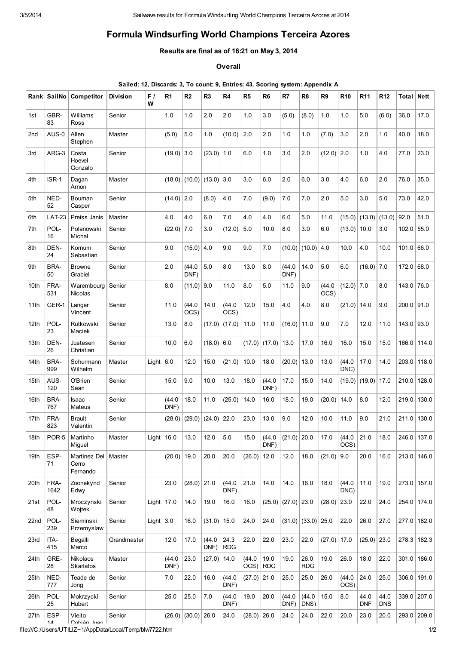## Formula Windsurfing World Champions Terceira Azores

## Results are final as of 16:21 on May 3, 2014

**Overall** 

| Sailed: 12, Discards: 3, To count: 9, Entries: 43, Scoring system: Appendix A |  |  |  |
|-------------------------------------------------------------------------------|--|--|--|
|-------------------------------------------------------------------------------|--|--|--|

|                  | Rank SailNo   | Competitor                        | <b>Division</b> | F/<br>W       | R1             | R <sub>2</sub>       | R <sub>3</sub> | R <sub>4</sub>     | R <sub>5</sub> | R <sub>6</sub>     | R7                | R <sub>8</sub>         | R9             | <b>R10</b>     | <b>R11</b>         | <b>R12</b>         | Total        | <b>Nett</b>   |
|------------------|---------------|-----------------------------------|-----------------|---------------|----------------|----------------------|----------------|--------------------|----------------|--------------------|-------------------|------------------------|----------------|----------------|--------------------|--------------------|--------------|---------------|
| 1st              | GBR-<br>83    | Williams<br>Ross                  | Senior          |               | 1.0            | 1.0                  | 2.0            | 2.0                | 1.0            | 3.0                | (5.0)             | (8.0)                  | 1.0            | 1.0            | 5.0                | (6.0)              | 36.0         | 17.0          |
| 2 <sub>nd</sub>  | AUS-0         | Allen<br>Stephen                  | Master          |               | (5.0)          | 5.0                  | 1.0            | (10.0)             | 2.0            | 2.0                | 1.0               | 1.0                    | (7.0)          | 3.0            | 2.0                | 1.0                | 40.0         | 18.0          |
| 3rd              | ARG-3         | Costa<br>Hoevel<br>Gonzalo        | Senior          |               | $(19.0)$ 3.0   |                      | (23.0)         | 1.0                | 6.0            | 1.0                | 3.0               | 2.0                    | (12.0)         | 2.0            | 1.0                | 4.0                | 77.0         | 23.0          |
| 4th              | ISR-1         | Dagan<br>Arnon                    | Master          |               |                | $(18.0)$ (10.0)      | $(13.0)$ 3.0   |                    | 3.0            | 6.0                | 2.0               | 6.0                    | 3.0            | 4.0            | 6.0                | 2.0                | 76.0         | 35.0          |
| 5th              | NED-<br>52    | Bouman<br>Casper                  | Senior          |               | $(14.0)$ 2.0   |                      | (8.0)          | 4.0                | 7.0            | (9.0)              | 7.0               | 7.0                    | 2.0            | 5.0            | 3.0                | 5.0                | 73.0         | 42.0          |
| 6th              | <b>LAT-23</b> | Preiss Janis                      | Master          |               | 4.0            | 4.0                  | 6.0            | 7.0                | 4.0            | 4.0                | 6.0               | 5.0                    | 11.0           | (15.0)         | (13.0)             | (13.0)             | 92.0         | 51.0          |
| 7th              | POL-<br>16    | Polanowski<br>Michal              | Senior          |               | (22.0)         | 7.0                  | 3.0            | (12.0)             | 5.0            | 10.0               | 8.0               | 3.0                    | 6.0            | (13.0)         | 10.0               | 3.0                | 102.0        | 55.0          |
| 8th              | DEN-<br>24    | Kornum<br>Sebastian               | Senior          |               | 9.0            | (15.0)               | 4.0            | 9.0                | 9.0            | 7.0                | (10.0)            | (10.0)                 | 4.0            | 10.0           | 4.0                | 10.0               | 101.0        | 66.0          |
| 9th              | BRA-<br>50    | <b>Browne</b><br>Grabiel          | Senior          |               | 2.0            | (44.0)<br>DNF)       | 5.0            | 8.0                | 13.0           | 8.0                | (44.0)<br>DNF)    | 14.0                   | 5.0            | 6.0            | (16.0)             | 7.0                | 172.0        | 68.0          |
| 10th             | FRA-<br>531   | Warembourg<br><b>Nicolas</b>      | Senior          |               | 8.0            | (11.0)               | 9.0            | 11.0               | 8.0            | 5.0                | 11.0              | 9.0                    | (44.0)<br>OCS) | $(12.0)$ 7.0   |                    | 8.0                | 143.0        | 76.0          |
| 11th             | GER-1         | Langer<br>Vincent                 | Senior          |               | 11.0           | (44.0)<br>OCS)       | 14.0           | (44.0)<br>OCS)     | 12.0           | 15.0               | 4.0               | 4.0                    | 8.0            | (21.0)         | 14.0               | 9.0                | $200.0$ 91.0 |               |
| 12 <sub>th</sub> | POL-<br>23    | Rutkowski<br>Maciek               | Senior          |               | 13.0           | 8.0                  | (17.0)         | (17.0)             | 11.0           | 11.0               | (16.0)            | 11.0                   | 9.0            | 7.0            | 12.0               | 11.0               | 143.0        | 93.0          |
| 13th             | DEN-<br>26    | Justesen<br>Christian             | Senior          |               | 10.0           | 6.0                  | $(18.0)$ 6.0   |                    |                | $(17.0)$ (17.0)    | 13.0              | 17.0                   | 16.0           | 16.0           | 15.0               | 15.0               | 166.0        | 114.0         |
| 14th             | BRA-<br>999   | Schurmann<br>Wilhelm              | Master          | Light $6.0$   |                | 12.0                 | 15.0           | (21.0)             | 10.0           | 18.0               | (20.0)            | 13.0                   | 13.0           | (44.0)<br>DNC) | 17.0               | 14.0               | 203.0        | 118.0         |
| 15th             | AUS-<br>120   | O'Brien<br>Sean                   | Senior          |               | 15.0           | 9.0                  | 10.0           | 13.0               | 18.0           | (44.0)<br>DNF)     | 17.0              | 15.0                   | 14.0           | (19.0)         | (19.0)             | 17.0               | 210.0        | 128.0         |
| 16th             | BRA-<br>767   | Isaac<br>Mateus                   | Senior          |               | (44.0)<br>DNF) | 18.0                 | 11.0           | (25.0)             | 14.0           | 16.0               | 18.0              | 19.0                   | (20.0)         | 14.0           | 8.0                | 12.0               | 219.0        | 130.0         |
| 17th             | FRA-<br>823   | <b>Brault</b><br>Valentin         | Senior          |               | (28.0)         | (29.0)               | (24.0)         | 22.0               | 23.0           | 13.0               | 9.0               | 12.0                   | 10.0           | 11.0           | 9.0                | 21.0               | 211.0        | 130.0         |
| 18th             | POR-5         | Martinho<br>Miguel                | Master          | Light $ 16.0$ |                | 13.0                 | 12.0           | 5.0                | 15.0           | (44.0<br>DNF)      | $(21.0)$ 20.0     |                        | 17.0           | (44.0)<br>OCS) | 21.0               | 18.0               |              | 246.0 137.0   |
| 19th             | ESP-<br>71    | Martinez Del<br>Cerro<br>Fernando | Master          |               | $(20.0)$ 19.0  |                      | 20.0           | 20.0               | (26.0)         | 12.0               | 12.0              | 18.0                   | (21.0)         | 9.0            | 20.0               | 16.0               |              | 213.0 146.0   |
| 20th             | FRA-<br>1642  | Zoonekynd<br>Edwy                 | Senior          |               | 23.0           | $(28.0)$ 21.0        |                | (44.0)<br>DNF)     | 21.0           | 14.0               | 14.0              | 16.0                   | 18.0           | (44.0)<br>DNC) | 11.0               | 19.0               |              | 273.0 157.0   |
| 21st             | POL-<br>48    | Mroczynski<br>Wojtek              | Senior          | Light $17.0$  |                | 14.0                 | 19.0           | 16.0               | 16.0           |                    | $(25.0)$ $(27.0)$ | 23.0                   | (28.0)         | 23.0           | 22.0               | 24.0               |              | 254.0 174.0   |
| 22nd             | POL-<br>239   | Sieminski<br>Przemyslaw           | Senior          | Light $3.0$   |                | 16.0                 | (31.0)         | 15.0               | 24.0           | 24.0               |                   | $(31.0)$ $(33.0)$ 25.0 |                | 22.0           | 26.0               | 27.0               |              | 277.0 182.0   |
| 23rd             | ITA-<br>415   | Begalli<br>Marco                  | Grandmaster     |               | 12.0           | 17.0                 | (44.0)<br>DNF) | 24.3<br><b>RDG</b> | 22.0           | 22.0               | 23.0              | 22.0                   | $(27.0)$ 17.0  |                | $(25.0)$ 23.0      |                    |              | 278.3 182.3   |
| 24th             | GRE-<br>28    | Nikolaos<br><b>Skarlatos</b>      | Master          |               | (44.0)<br>DNF) | 23.0                 | (27.0)         | 14.0               | (44.0)<br>OCS) | 19.0<br><b>RDG</b> | 19.0              | 26.0<br><b>RDG</b>     | 19.0           | 26.0           | 18.0               | 22.0               |              | $301.0$ 186.0 |
| 25th             | NED-<br>777   | Teade de<br>Jong                  | Senior          |               | 7.0            | 22.0                 | 16.0           | (44.0)<br>DNF)     | $(27.0)$ 21.0  |                    | 25.0              | 25.0                   | 26.0           | (44.0)<br>OCS) | 24.0               | 25.0               |              | $306.0$ 191.0 |
| 26th             | POL-<br>25    | Mokrzycki<br>Hubert               | Senior          |               | 25.0           | 25.0                 | 7.0            | (44.0)<br>DNF)     | 19.0           | 20.0               | (44.0)<br>DNF)    | (44.0)<br>DNS)         | 15.0           | 8.0            | 44.0<br><b>DNF</b> | 44.0<br><b>DNS</b> |              | $339.0$ 207.0 |
| 27th             | ESP-<br>11    | Vieito<br>Cohián luan             | Senior          |               |                | $(26.0)$ (30.0) 26.0 |                | 24.0               | $(28.0)$ 26.0  |                    | 24.0              | 24.0                   | 22.0           | 20.0           | 23.0               | 20.0               |              | 293.0 209.0   |

file:///C:/Users/UTILIZ~1/AppData/Local/Temp/blw7722.htm 1/2